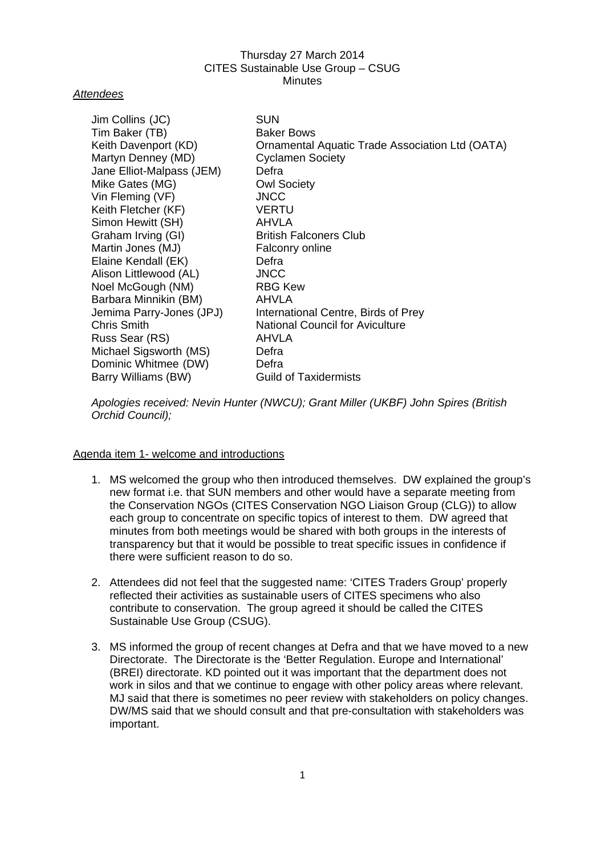### *Attendees*

| Jim Collins (JC)          | <b>SUN</b>                                      |
|---------------------------|-------------------------------------------------|
| Tim Baker (TB)            | <b>Baker Bows</b>                               |
| Keith Davenport (KD)      | Ornamental Aquatic Trade Association Ltd (OATA) |
| Martyn Denney (MD)        | <b>Cyclamen Society</b>                         |
| Jane Elliot-Malpass (JEM) | Defra                                           |
| Mike Gates (MG)           | <b>Owl Society</b>                              |
| Vin Fleming (VF)          | <b>JNCC</b>                                     |
| Keith Fletcher (KF)       | <b>VERTU</b>                                    |
| Simon Hewitt (SH)         | AHVLA                                           |
| Graham Irving (GI)        | <b>British Falconers Club</b>                   |
| Martin Jones (MJ)         | Falconry online                                 |
| Elaine Kendall (EK)       | Defra                                           |
| Alison Littlewood (AL)    | <b>JNCC</b>                                     |
| Noel McGough (NM)         | <b>RBG Kew</b>                                  |
| Barbara Minnikin (BM)     | AHVLA                                           |
| Jemima Parry-Jones (JPJ)  | International Centre, Birds of Prey             |
| <b>Chris Smith</b>        | <b>National Council for Aviculture</b>          |
| Russ Sear (RS)            | AHVLA                                           |
| Michael Sigsworth (MS)    | Defra                                           |
| Dominic Whitmee (DW)      | Defra                                           |
| Barry Williams (BW)       | <b>Guild of Taxidermists</b>                    |

*Apologies received: Nevin Hunter (NWCU); Grant Miller (UKBF) John Spires (British Orchid Council);* 

#### Agenda item 1- welcome and introductions

- 1. MS welcomed the group who then introduced themselves. DW explained the group's new format i.e. that SUN members and other would have a separate meeting from the Conservation NGOs (CITES Conservation NGO Liaison Group (CLG)) to allow each group to concentrate on specific topics of interest to them. DW agreed that minutes from both meetings would be shared with both groups in the interests of transparency but that it would be possible to treat specific issues in confidence if there were sufficient reason to do so.
- 2. Attendees did not feel that the suggested name: 'CITES Traders Group' properly reflected their activities as sustainable users of CITES specimens who also contribute to conservation. The group agreed it should be called the CITES Sustainable Use Group (CSUG).
- 3. MS informed the group of recent changes at Defra and that we have moved to a new Directorate. The Directorate is the 'Better Regulation. Europe and International' (BREI) directorate. KD pointed out it was important that the department does not work in silos and that we continue to engage with other policy areas where relevant. MJ said that there is sometimes no peer review with stakeholders on policy changes. DW/MS said that we should consult and that pre-consultation with stakeholders was important.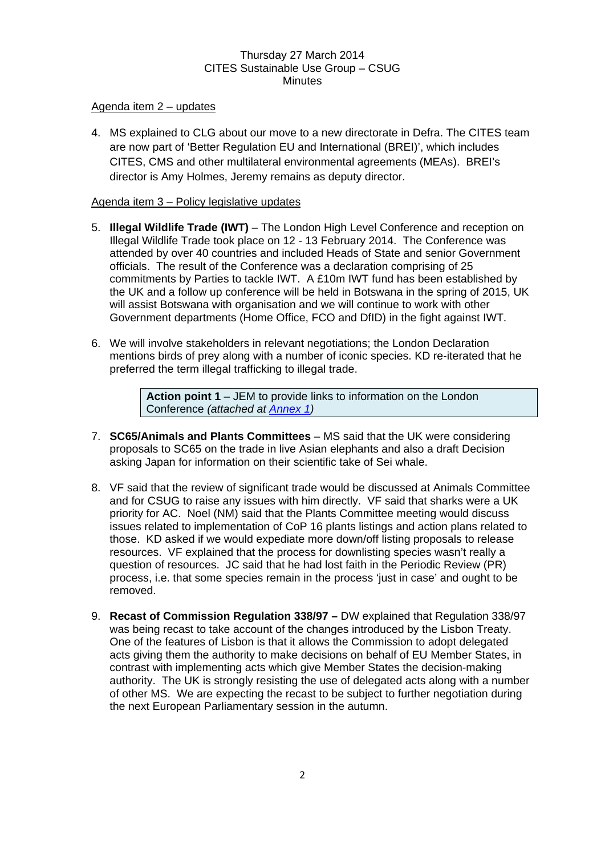### Agenda item 2 – updates

4. MS explained to CLG about our move to a new directorate in Defra. The CITES team are now part of 'Better Regulation EU and International (BREI)', which includes CITES, CMS and other multilateral environmental agreements (MEAs). BREI's director is Amy Holmes, Jeremy remains as deputy director.

### Agenda item 3 – Policy legislative updates

- 5. **Illegal Wildlife Trade (IWT)** The London High Level Conference and reception on Illegal Wildlife Trade took place on 12 - 13 February 2014. The Conference was attended by over 40 countries and included Heads of State and senior Government officials. The result of the Conference was a declaration comprising of 25 commitments by Parties to tackle IWT. A £10m IWT fund has been established by the UK and a follow up conference will be held in Botswana in the spring of 2015, UK will assist Botswana with organisation and we will continue to work with other Government departments (Home Office, FCO and DfID) in the fight against IWT.
- 6. We will involve stakeholders in relevant negotiations; the London Declaration mentions birds of prey along with a number of iconic species. KD re-iterated that he preferred the term illegal trafficking to illegal trade.

**Action point 1** – JEM to provide links to information on the London Conference *(attached at [Annex 1](#page-8-0))*

- 7. **SC65/Animals and Plants Committees** MS said that the UK were considering proposals to SC65 on the trade in live Asian elephants and also a draft Decision asking Japan for information on their scientific take of Sei whale.
- 8. VF said that the review of significant trade would be discussed at Animals Committee and for CSUG to raise any issues with him directly. VF said that sharks were a UK priority for AC. Noel (NM) said that the Plants Committee meeting would discuss issues related to implementation of CoP 16 plants listings and action plans related to those. KD asked if we would expediate more down/off listing proposals to release resources. VF explained that the process for downlisting species wasn't really a question of resources. JC said that he had lost faith in the Periodic Review (PR) process, i.e. that some species remain in the process 'just in case' and ought to be removed.
- 9. **Recast of Commission Regulation 338/97** DW explained that Regulation 338/97 was being recast to take account of the changes introduced by the Lisbon Treaty. One of the features of Lisbon is that it allows the Commission to adopt delegated acts giving them the authority to make decisions on behalf of EU Member States, in contrast with implementing acts which give Member States the decision-making authority. The UK is strongly resisting the use of delegated acts along with a number of other MS. We are expecting the recast to be subject to further negotiation during the next European Parliamentary session in the autumn.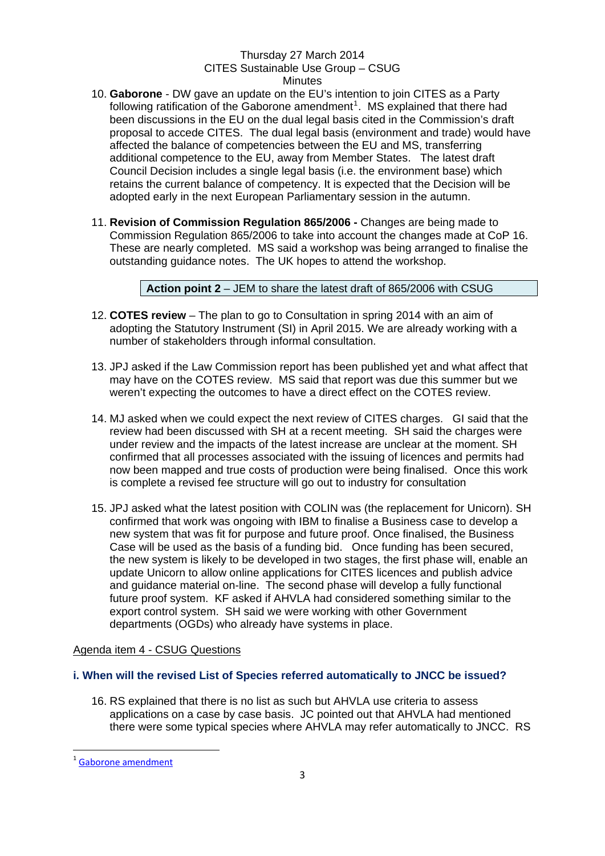- 10. **Gaborone** DW gave an update on the EU's intention to join CITES as a Party following ratification of the Gaborone amendment<sup>[1](#page-2-0)</sup>. MS explained that there had been discussions in the EU on the dual legal basis cited in the Commission's draft proposal to accede CITES. The dual legal basis (environment and trade) would have affected the balance of competencies between the EU and MS, transferring additional competence to the EU, away from Member States. The latest draft Council Decision includes a single legal basis (i.e. the environment base) which retains the current balance of competency. It is expected that the Decision will be adopted early in the next European Parliamentary session in the autumn.
- 11. **Revision of Commission Regulation 865/2006** Changes are being made to Commission Regulation 865/2006 to take into account the changes made at CoP 16. These are nearly completed. MS said a workshop was being arranged to finalise the outstanding guidance notes. The UK hopes to attend the workshop.

**Action point 2** – JEM to share the latest draft of 865/2006 with CSUG

- 12. **COTES review** The plan to go to Consultation in spring 2014 with an aim of adopting the Statutory Instrument (SI) in April 2015. We are already working with a number of stakeholders through informal consultation.
- 13. JPJ asked if the Law Commission report has been published yet and what affect that may have on the COTES review. MS said that report was due this summer but we weren't expecting the outcomes to have a direct effect on the COTES review.
- 14. MJ asked when we could expect the next review of CITES charges. GI said that the review had been discussed with SH at a recent meeting. SH said the charges were under review and the impacts of the latest increase are unclear at the moment. SH confirmed that all processes associated with the issuing of licences and permits had now been mapped and true costs of production were being finalised. Once this work is complete a revised fee structure will go out to industry for consultation
- 15. JPJ asked what the latest position with COLIN was (the replacement for Unicorn). SH confirmed that work was ongoing with IBM to finalise a Business case to develop a new system that was fit for purpose and future proof. Once finalised, the Business Case will be used as the basis of a funding bid. Once funding has been secured, the new system is likely to be developed in two stages, the first phase will, enable an update Unicorn to allow online applications for CITES licences and publish advice and guidance material on-line. The second phase will develop a fully functional future proof system. KF asked if AHVLA had considered something similar to the export control system. SH said we were working with other Government departments (OGDs) who already have systems in place.

# Agenda item 4 - CSUG Questions

# **i. When will the revised List of Species referred automatically to JNCC be issued?**

16. RS explained that there is no list as such but AHVLA use criteria to assess applications on a case by case basis. JC pointed out that AHVLA had mentioned there were some typical species where AHVLA may refer automatically to JNCC. RS

<span id="page-2-0"></span>Gaborone [amendment](http://www.cites.org/eng/disc/gaborone.php)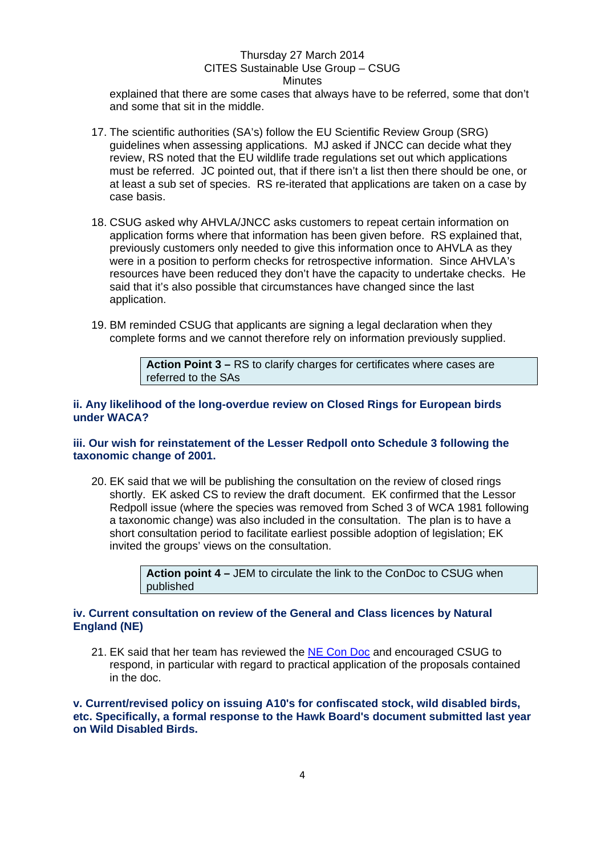explained that there are some cases that always have to be referred, some that don't and some that sit in the middle.

- 17. The scientific authorities (SA's) follow the EU Scientific Review Group (SRG) guidelines when assessing applications. MJ asked if JNCC can decide what they review, RS noted that the EU wildlife trade regulations set out which applications must be referred. JC pointed out, that if there isn't a list then there should be one, or at least a sub set of species. RS re-iterated that applications are taken on a case by case basis.
- 18. CSUG asked why AHVLA/JNCC asks customers to repeat certain information on application forms where that information has been given before. RS explained that, previously customers only needed to give this information once to AHVLA as they were in a position to perform checks for retrospective information. Since AHVLA's resources have been reduced they don't have the capacity to undertake checks. He said that it's also possible that circumstances have changed since the last application.
- 19. BM reminded CSUG that applicants are signing a legal declaration when they complete forms and we cannot therefore rely on information previously supplied.

**Action Point 3 –** RS to clarify charges for certificates where cases are referred to the SAs

#### **ii. Any likelihood of the long-overdue review on Closed Rings for European birds under WACA?**

#### **iii. Our wish for reinstatement of the Lesser Redpoll onto Schedule 3 following the taxonomic change of 2001.**

20. EK said that we will be publishing the consultation on the review of closed rings shortly. EK asked CS to review the draft document. EK confirmed that the Lessor Redpoll issue (where the species was removed from Sched 3 of WCA 1981 following a taxonomic change) was also included in the consultation. The plan is to have a short consultation period to facilitate earliest possible adoption of legislation; EK invited the groups' views on the consultation.

> **Action point 4 –** JEM to circulate the link to the ConDoc to CSUG when published

### **iv. Current consultation on review of the General and Class licences by Natural England (NE)**

21. EK said that her team has reviewed the [NE Con Doc](http://www.naturalengland.org.uk/ourwork/regulation/wildlife/licences/wildlifelicensingconsultation.aspx) and encouraged CSUG to respond, in particular with regard to practical application of the proposals contained in the doc.

### **v. Current/revised policy on issuing A10's for confiscated stock, wild disabled birds, etc. Specifically, a formal response to the Hawk Board's document submitted last year on Wild Disabled Birds.**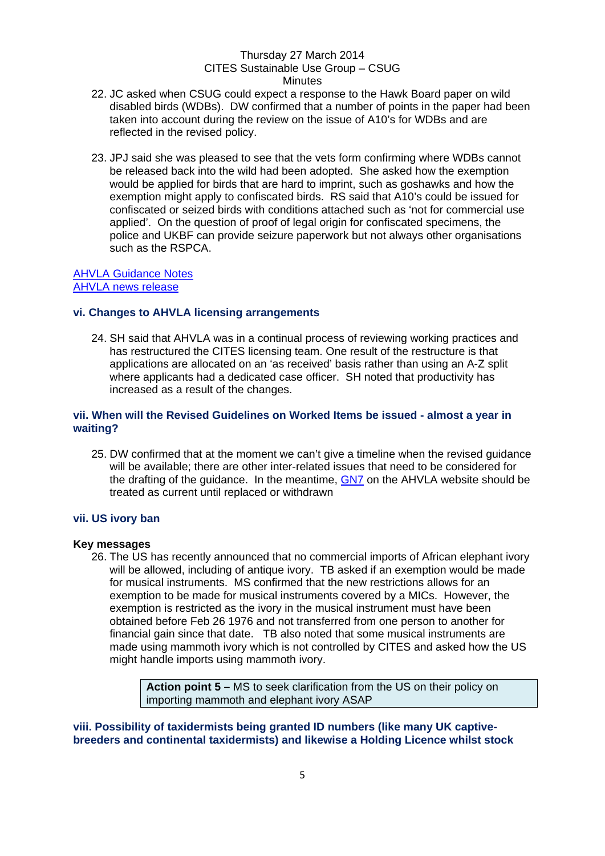- 22. JC asked when CSUG could expect a response to the Hawk Board paper on wild disabled birds (WDBs). DW confirmed that a number of points in the paper had been taken into account during the review on the issue of A10's for WDBs and are reflected in the revised policy.
- 23. JPJ said she was pleased to see that the vets form confirming where WDBs cannot be released back into the wild had been adopted. She asked how the exemption would be applied for birds that are hard to imprint, such as goshawks and how the exemption might apply to confiscated birds. RS said that A10's could be issued for confiscated or seized birds with conditions attached such as 'not for commercial use applied'. On the question of proof of legal origin for confiscated specimens, the police and UKBF can provide seizure paperwork but not always other organisations such as the RSPCA.

#### [AHVLA Guidance Notes](http://www.defra.gov.uk/ahvla-en/imports-exports/cites/guidance/) [AHVLA news release](http://www.defra.gov.uk/ahvla-en/imports-exports/cites/cites-news/commercial-use-of-cites-specimens/)

### **vi. Changes to AHVLA licensing arrangements**

24. SH said that AHVLA was in a continual process of reviewing working practices and has restructured the CITES licensing team. One result of the restructure is that applications are allocated on an 'as received' basis rather than using an A-Z split where applicants had a dedicated case officer. SH noted that productivity has increased as a result of the changes.

### **vii. When will the Revised Guidelines on Worked Items be issued - almost a year in waiting?**

25. DW confirmed that at the moment we can't give a timeline when the revised guidance will be available; there are other inter-related issues that need to be considered for the drafting of the guidance. In the meantime, [GN7](http://www.defra.gov.uk/ahvla-en/files/cites-gn7.pdf) on the AHVLA website should be treated as current until replaced or withdrawn

# **vii. US ivory ban**

#### **Key messages**

26. The US has recently announced that no commercial imports of African elephant ivory will be allowed, including of antique ivory. TB asked if an exemption would be made for musical instruments. MS confirmed that the new restrictions allows for an exemption to be made for musical instruments covered by a MICs. However, the exemption is restricted as the ivory in the musical instrument must have been obtained before Feb 26 1976 and not transferred from one person to another for financial gain since that date. TB also noted that some musical instruments are made using mammoth ivory which is not controlled by CITES and asked how the US might handle imports using mammoth ivory.

> **Action point 5 –** MS to seek clarification from the US on their policy on importing mammoth and elephant ivory ASAP

### **viii. Possibility of taxidermists being granted ID numbers (like many UK captivebreeders and continental taxidermists) and likewise a Holding Licence whilst stock**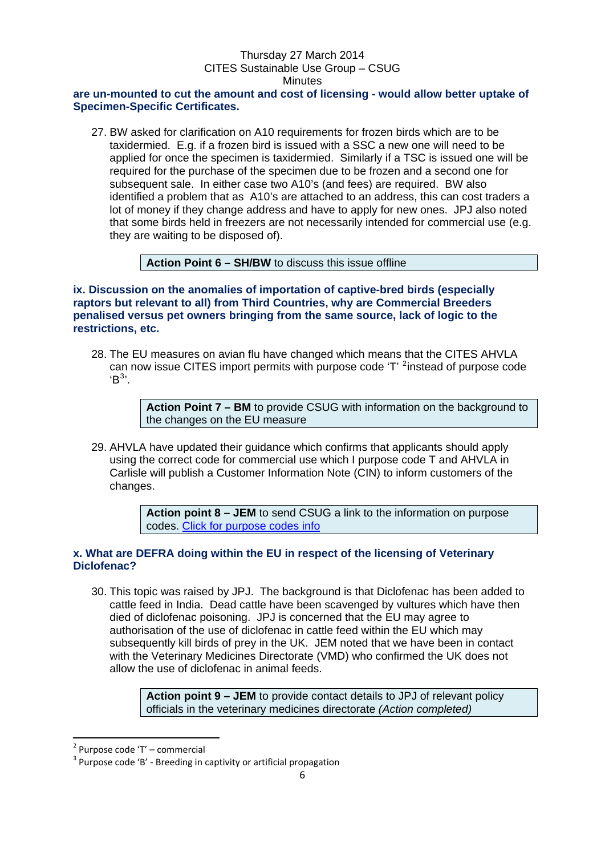### **are un-mounted to cut the amount and cost of licensing - would allow better uptake of Specimen-Specific Certificates.**

27. BW asked for clarification on A10 requirements for frozen birds which are to be taxidermied. E.g. if a frozen bird is issued with a SSC a new one will need to be applied for once the specimen is taxidermied. Similarly if a TSC is issued one will be required for the purchase of the specimen due to be frozen and a second one for subsequent sale. In either case two A10's (and fees) are required. BW also identified a problem that as A10's are attached to an address, this can cost traders a lot of money if they change address and have to apply for new ones. JPJ also noted that some birds held in freezers are not necessarily intended for commercial use (e.g. they are waiting to be disposed of).

**Action Point 6 – SH/BW** to discuss this issue offline

**ix. Discussion on the anomalies of importation of captive-bred birds (especially raptors but relevant to all) from Third Countries, why are Commercial Breeders penalised versus pet owners bringing from the same source, lack of logic to the restrictions, etc.** 

28. The EU measures on avian flu have changed which means that the CITES AHVLA can now issue CITES import permits with purpose code 'T' <sup>[2](#page-5-0)</sup>instead of purpose code  $B^{3}$  $B^{3}$  $B^{3}$ .

> **Action Point 7 – BM** to provide CSUG with information on the background to the changes on the EU measure

29. AHVLA have updated their guidance which confirms that applicants should apply using the correct code for commercial use which I purpose code T and AHVLA in Carlisle will publish a Customer Information Note (CIN) to inform customers of the changes.

> **Action point 8 – JEM** to send CSUG a link to the information on purpose codes. [Click for purpose codes info](http://www.defra.gov.uk/ahvla-en/imports-exports/cites/cites-news/commercial-use-of-cites-specimens/)

### **x. What are DEFRA doing within the EU in respect of the licensing of Veterinary Diclofenac?**

30. This topic was raised by JPJ. The background is that Diclofenac has been added to cattle feed in India. Dead cattle have been scavenged by vultures which have then died of diclofenac poisoning. JPJ is concerned that the EU may agree to authorisation of the use of diclofenac in cattle feed within the EU which may subsequently kill birds of prey in the UK. JEM noted that we have been in contact with the Veterinary Medicines Directorate (VMD) who confirmed the UK does not allow the use of diclofenac in animal feeds.

> **Action point 9 – JEM** to provide contact details to JPJ of relevant policy officials in the veterinary medicines directorate *(Action completed)*

<span id="page-5-1"></span>

<span id="page-5-0"></span><sup>&</sup>lt;sup>2</sup> Purpose code 'T' – commercial<br><sup>3</sup> Purpose code 'B' - Breeding in captivity or artificial propagation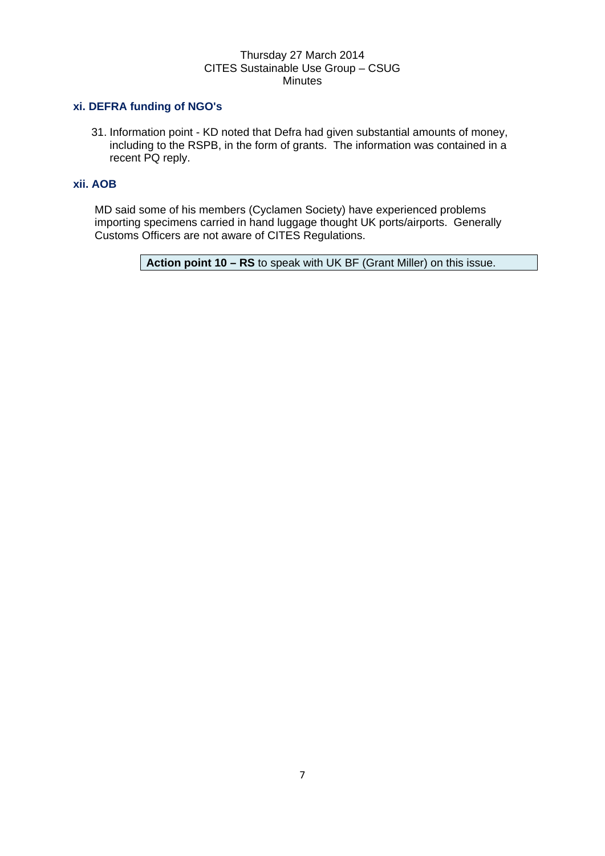### **xi. DEFRA funding of NGO's**

31. Information point - KD noted that Defra had given substantial amounts of money, including to the RSPB, in the form of grants. The information was contained in a recent PQ reply.

### **xii. AOB**

MD said some of his members (Cyclamen Society) have experienced problems importing specimens carried in hand luggage thought UK ports/airports. Generally Customs Officers are not aware of CITES Regulations.

**Action point 10 – RS** to speak with UK BF (Grant Miller) on this issue.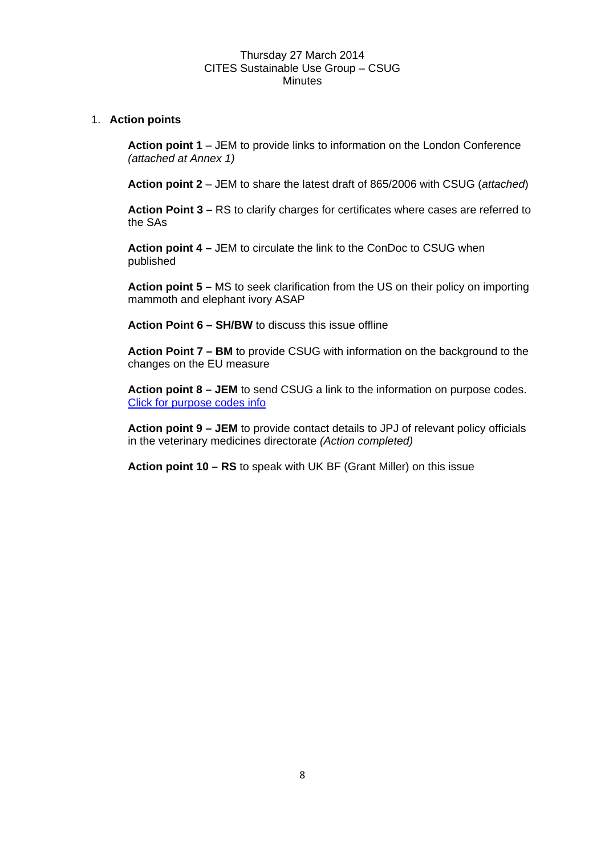### 1. **Action points**

**Action point 1** – JEM to provide links to information on the London Conference *(attached at Annex 1)*

**Action point 2** – JEM to share the latest draft of 865/2006 with CSUG (*attached*)

**Action Point 3 –** RS to clarify charges for certificates where cases are referred to the SAs

**Action point 4 –** JEM to circulate the link to the ConDoc to CSUG when published

**Action point 5 –** MS to seek clarification from the US on their policy on importing mammoth and elephant ivory ASAP

**Action Point 6 – SH/BW** to discuss this issue offline

**Action Point 7 – BM** to provide CSUG with information on the background to the changes on the EU measure

**Action point 8 – JEM** to send CSUG a link to the information on purpose codes. [Click for purpose codes info](http://www.defra.gov.uk/ahvla-en/imports-exports/cites/cites-news/commercial-use-of-cites-specimens/) 

**Action point 9 – JEM** to provide contact details to JPJ of relevant policy officials in the veterinary medicines directorate *(Action completed)* 

**Action point 10 – RS** to speak with UK BF (Grant Miller) on this issue